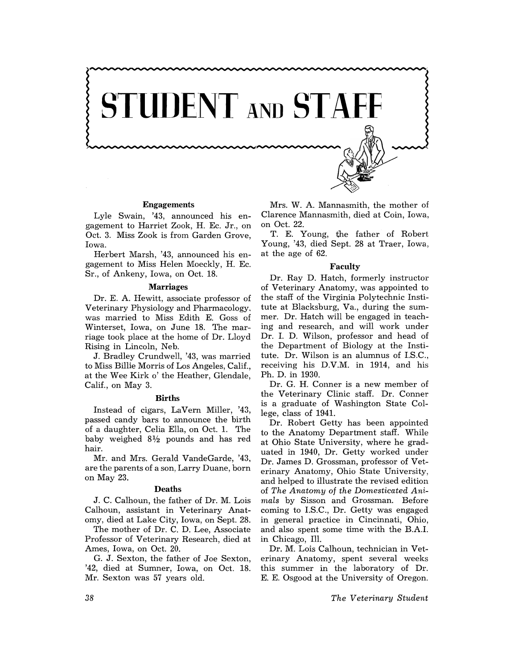

### **Engagements**

Lyle Swain, '43, announced his engagement to Harriet Zook, H. Ec. Jr., on Oct. 3. Miss Zook is from Garden Grove, Iowa.

Herbert Marsh, '43, announced his engagement to Miss Helen Moeckly, H. Ec. Sr., of Ankeny, Iowa, on Oct. 18.

### **Marriages**

Dr. E. A. Hewitt, associate professor of Veterinary Physiology and Pharmacology, was married to Miss Edith E. Goss of Winterset, Iowa, on June 18. The marriage took place at the home of Dr. Lloyd Rising in Lincoln, Neb.

J. Bradley Crundwell, '43, was married to Miss Billie Morris of Los Angeles, Calif., at the Wee Kirk 0' the Heather, Glendale, Calif., on May 3.

#### **Births**

Instead of cigars, LaVern Miller, '43, passed candy bars to announce the birth of a daughter, Celia Ella, on Oct. 1. The baby weighed  $8\frac{1}{2}$  pounds and has red hair.

Mr. and Mrs. Gerald Vande Garde, '43, are the parents of a son, Larry Duane, born on May 23.

### **Deaths**

J. C. Calhoun, the father of Dr. M. Lois Calhoun, assistant in Veterinary Anatomy, died at Lake City, Iowa, on Sept. 28.

The mother of Dr. C. D. Lee, Associate Professor of Veterinary Research, died at Ames, Iowa, on Oct. 20.

G. J. Sexton, the father of Joe Sexton, '42, died at Sumner, Iowa, on Oct. 18. Mr. Sexton was 57 years old.

Mrs. W. A. Mannasmith, the mother of Clarence Mannasmith, died at Coin, Iowa, on Oct. 22.

T. E. Young, the father of Robert Young, '43, died Sept. 28 at Traer, Iowa, at the age of 62.

### **Faculty**

Dr. Ray D. Hatch, formerly instructor of Veterinary Anatomy, was appointed to the staff of the Virginia Polytechnic Institute at Blacksburg, Va., during the summer. Dr. Hatch will be engaged in teaching and research, and will work under Dr. 1. D. Wilson, professor and head of the Department of Biology at the Institute. Dr. Wilson is an alumnus of 1.S.C., receiving his D.V.M. in 1914, and his Ph. D. in 1930.

Dr. G. H. Conner is a new member of the Veterinary Clinic staff. Dr. Conner is a graduate of Washington State College, class of 1941.

Dr. Robert Getty has been appointed to the Anatomy Department staff. While at Ohio State University, where he graduated in 1940, Dr. Getty worked under Dr. James D. Grossman, professor of Veterinary Anatomy, Ohio State University, and helped to illustrate the revised edition of *The Anatomy* of *the Domesticated Animals* by Sisson and Grossman. Before coming to I.s.C., Dr. Getty was engaged in general practice in Cincinnati, Ohio, and also spent some time with the B.A.1. in Chicago, Ill.

Dr. M. Lois Calhoun, technician in Veterinary Anatomy, spent several weeks this summer in the laboratory of Dr. E. E. Osgood at the University of Oregon.

*The Veterinary Student*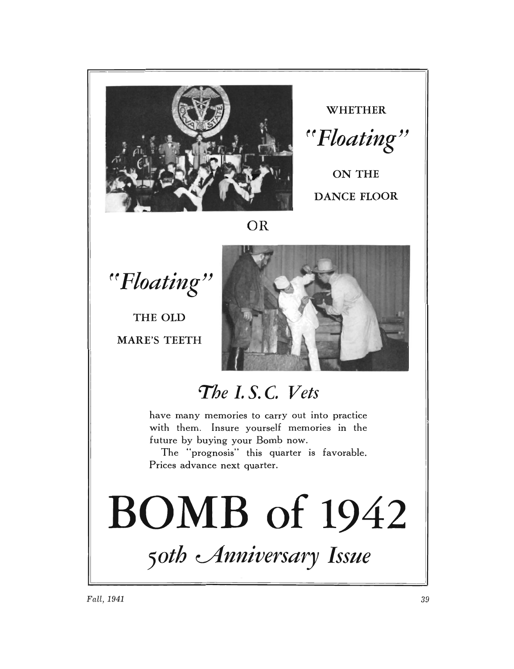

**WHETHER**  ~~ *Floating"* 

ON THE **DANCE FLOOR** 

### **OR**

~~ *Floating"* 

**THE OLD MARE'S TEETH** 



## *The* **1. s. C,** *Vets*

have many memories to carry out into practice with them. Insure yourself memories in the future by buying your Bomb now.

The "prognosis" this quarter is favorable. Prices advance next quarter.

# l **BOMB of 1942**  50th *Anniversary* Issue